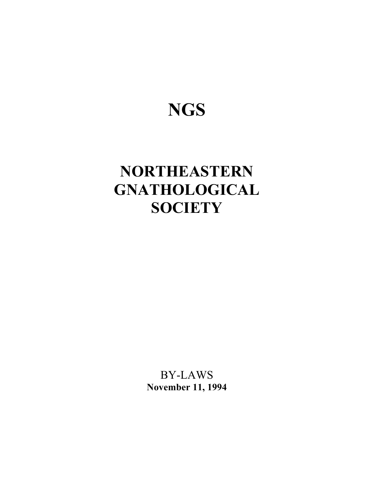# **NGS**

# **NORTHEASTERN GNATHOLOGICAL SOCIETY**

BY-LAWS **November 11, 1994**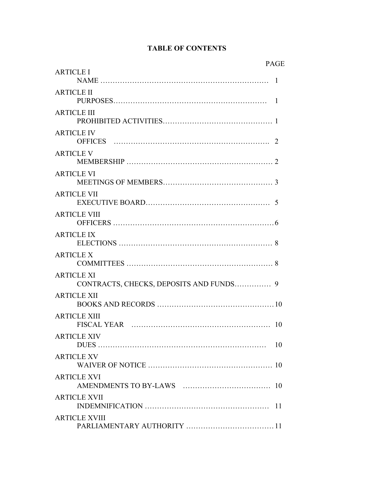# **TABLE OF CONTENTS**

| <b>PAGE</b>                                                  |  |
|--------------------------------------------------------------|--|
| <b>ARTICLE I</b>                                             |  |
| <b>ARTICLE II</b>                                            |  |
| <b>ARTICLE III</b>                                           |  |
| <b>ARTICLE IV</b>                                            |  |
| <b>ARTICLE V</b>                                             |  |
| <b>ARTICLE VI</b>                                            |  |
| <b>ARTICLE VII</b>                                           |  |
| <b>ARTICLE VIII</b>                                          |  |
| <b>ARTICLE IX</b>                                            |  |
| <b>ARTICLE X</b>                                             |  |
| <b>ARTICLE XI</b><br>CONTRACTS, CHECKS, DEPOSITS AND FUNDS 9 |  |
| <b>ARTICLE XII</b>                                           |  |
| <b>ARTICLE XIII</b>                                          |  |
| <b>ARTICLE XIV</b><br>10                                     |  |
| <b>ARTICLE XV</b>                                            |  |
| <b>ARTICLE XVI</b>                                           |  |
| <b>ARTICLE XVII</b><br>11                                    |  |
| <b>ARTICLE XVIII</b>                                         |  |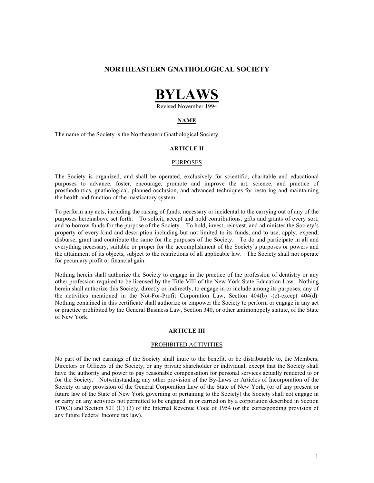# **NORTHEASTERN GNATHOLOGICAL SOCIETY**



Revised November 1994

# **NAME**

The name of the Society is the Northeastern Gnathological Society.

# **ARTICLE II**

#### PURPOSES

The Society is organized, and shall be operated, exclusively for scientific, charitable and educational purposes to advance, foster, encourage, promote and improve the art, science, and practice of prosthodontics, gnathological, planned occlusion, and advanced techniques for restoring and maintaining the health and function of the masticatory system.

To perform any acts, including the raising of funds, necessary or incidental to the carrying out of any of the purposes hereinabove set forth. To solicit, accept and hold contributions, gifts and grants of every sort, and to borrow funds for the purpose of the Society. To hold, invest, reinvest, and administer the Society's property of every kind and description including but not limited to its funds, and to use, apply, expend, disburse, grant and contribute the same for the purposes of the Society. To do and participate in all and everything necessary, suitable or proper for the accomplishment of the Society's purposes or powers and the attainment of its objects, subject to the restrictions of all applicable law. The Society shall not operate for pecuniary profit or financial gain.

Nothing herein shall authorize the Society to engage in the practice of the profession of dentistry or any other profession required to be licensed by the Title VIII of the New York State Education Law. Nothing herein shall authorize this Society, directly or indirectly, to engage in or include among its purposes, any of the activities mentioned in the Not-For-Profit Corporation Law, Section 404(b) -(c)-except 404(d). Nothing contained in this certificate shall authorize or empower the Society to perform or engage in any act or practice prohibited by the General Business Law, Section 340, or other antimonopoly statute, of the State of New York.

#### **ARTICLE III**

#### PROHIBITED ACTIVITIES

No part of the net earnings of the Society shall inure to the benefit, or be distributable to, the Members, Directors or Officers of the Society, or any private shareholder or individual, except that the Society shall have the authority and power to pay reasonable compensation for personal services actually rendered to or for the Society. Notwithstanding any other provision of the By-Laws or Articles of Incorporation of the Society or any provision of the General Corporation Law of the State of New York, (or of any present or future law of the State of New York governing or pertaining to the Society) the Society shall not engage in or carry on any activities not permitted to be engaged in or carried on by a corporation described in Section 170(C) and Section 501 (C) (3) of the Internal Revenue Code of 1954 (or the corresponding provision of any future Federal Income tax law).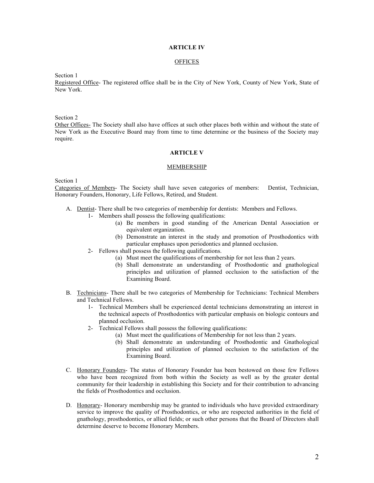# **ARTICLE IV**

# **OFFICES**

Section 1

Registered Office- The registered office shall be in the City of New York, County of New York, State of New York.

Section 2

Other Offices- The Society shall also have offices at such other places both within and without the state of New York as the Executive Board may from time to time determine or the business of the Society may require.

# **ARTICLE V**

#### **MEMBERSHIP**

Section 1

Categories of Members- The Society shall have seven categories of members: Dentist, Technician, Honorary Founders, Honorary, Life Fellows, Retired, and Student.

- A. Dentist- There shall be two categories of membership for dentists: Members and Fellows.
	- 1- Members shall possess the following qualifications:
		- (a) Be members in good standing of the American Dental Association or equivalent organization.
		- (b) Demonstrate an interest in the study and promotion of Prosthodontics with particular emphases upon periodontics and planned occlusion.
		- 2- Fellows shall possess the following qualifications.
			- (a) Must meet the qualifications of membership for not less than 2 years.
				- (b) Shall demonstrate an understanding of Prosthodontic and gnathological principles and utilization of planned occlusion to the satisfaction of the Examining Board.
- B. Technicians- There shall be two categories of Membership for Technicians: Technical Members and Technical Fellows.
	- 1- Technical Members shall be experienced dental technicians demonstrating an interest in the technical aspects of Prosthodontics with particular emphasis on biologic contours and planned occlusion.
	- 2- Technical Fellows shall possess the following qualifications:
		- (a) Must meet the qualifications of Membership for not less than 2 years.
		- (b) Shall demonstrate an understanding of Prosthodontic and Gnathological principles and utilization of planned occlusion to the satisfaction of the Examining Board.
- C. Honorary Founders- The status of Honorary Founder has been bestowed on those few Fellows who have been recognized from both within the Society as well as by the greater dental community for their leadership in establishing this Society and for their contribution to advancing the fields of Prosthodontics and occlusion.
- D. Honorary- Honorary membership may be granted to individuals who have provided extraordinary service to improve the quality of Prosthodontics, or who are respected authorities in the field of gnathology, prosthodontics, or allied fields; or such other persons that the Board of Directors shall determine deserve to become Honorary Members.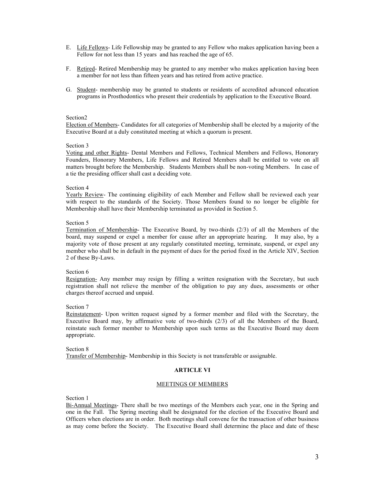- E. Life Fellows- Life Fellowship may be granted to any Fellow who makes application having been a Fellow for not less than 15 years and has reached the age of 65.
- F. Retired- Retired Membership may be granted to any member who makes application having been a member for not less than fifteen years and has retired from active practice.
- G. Student- membership may be granted to students or residents of accredited advanced education programs in Prosthodontics who present their credentials by application to the Executive Board.

Election of Members- Candidates for all categories of Membership shall be elected by a majority of the Executive Board at a duly constituted meeting at which a quorum is present.

#### Section 3

Voting and other Rights- Dental Members and Fellows, Technical Members and Fellows, Honorary Founders, Honorary Members, Life Fellows and Retired Members shall be entitled to vote on all matters brought before the Membership. Students Members shall be non-voting Members. In case of a tie the presiding officer shall cast a deciding vote.

#### Section 4

Yearly Review- The continuing eligibility of each Member and Fellow shall be reviewed each year with respect to the standards of the Society. Those Members found to no longer be eligible for Membership shall have their Membership terminated as provided in Section 5.

#### Section 5

Termination of Membership- The Executive Board, by two-thirds (2/3) of all the Members of the board, may suspend or expel a member for cause after an appropriate hearing. It may also, by a majority vote of those present at any regularly constituted meeting, terminate, suspend, or expel any member who shall be in default in the payment of dues for the period fixed in the Article XIV, Section 2 of these By-Laws.

# Section 6

Resignation- Any member may resign by filling a written resignation with the Secretary, but such registration shall not relieve the member of the obligation to pay any dues, assessments or other charges thereof accrued and unpaid.

#### Section 7

Reinstatement- Upon written request signed by a former member and filed with the Secretary, the Executive Board may, by affirmative vote of two-thirds (2/3) of all the Members of the Board, reinstate such former member to Membership upon such terms as the Executive Board may deem appropriate.

# Section 8 Transfer of Membership- Membership in this Society is not transferable or assignable.

#### **ARTICLE VI**

#### MEETINGS OF MEMBERS

Section 1

Bi-Annual Meetings- There shall be two meetings of the Members each year, one in the Spring and one in the Fall. The Spring meeting shall be designated for the election of the Executive Board and Officers when elections are in order. Both meetings shall convene for the transaction of other business as may come before the Society. The Executive Board shall determine the place and date of these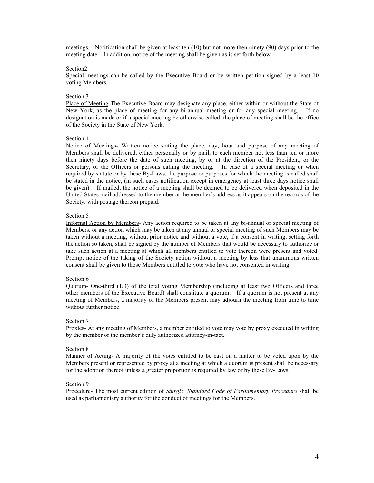meetings. Notification shall be given at least ten (10) but not more then ninety (90) days prior to the meeting date. In addition, notice of the meeting shall be given as is set forth below.

#### Section2

Special meetings can be called by the Executive Board or by written petition signed by a least 10 voting Members.

#### Section 3

Place of Meeting-The Executive Board may designate any place, either within or without the State of New York, as the place of meeting for any bi-annual meeting or for any special meeting. If no designation is made or if a special meeting be otherwise called, the place of meeting shall be the office of the Society in the State of New York.

#### Section 4

Notice of Meetings- Written notice stating the place, day, hour and purpose of any meeting of Members shall be delivered, either personally or by mail, to each member not less than ten or more then ninety days before the date of such meeting, by or at the direction of the President, or the Secretary, or the Officers or persons calling the meeting. In case of a special meeting or when required by statute or by these By-Laws, the purpose or purposes for which the meeting is called shall be stated in the notice, (in such cases notification except in emergency at least three days notice shall be given). If mailed, the notice of a meeting shall be deemed to be delivered when deposited in the United States mail addressed to the member at the member's address as it appears on the records of the Society, with postage thereon prepaid.

#### Section 5

Informal Action by Members- Any action required to be taken at any bi-annual or special meeting of Members, or any action which may be taken at any annual or special meeting of such Members may be taken without a meeting, without prior notice and without a vote, if a consent in writing, setting forth the action so taken, shall be signed by the number of Members that would be necessary to authorize or take such action at a meeting at which all members entitled to vote thereon were present and voted. Prompt notice of the taking of the Society action without a meeting by less that unanimous written consent shall be given to those Members entitled to vote who have not consented in writing.

#### Section 6

Quorum- One-third  $(1/3)$  of the total voting Membership (including at least two Officers and three other members of the Executive Board) shall constitute a quorum. If a quorum is not present at any meeting of Members, a majority of the Members present may adjourn the meeting from time to time without further notice.

#### Section 7

Proxies- At any meeting of Members, a member entitled to vote may vote by proxy executed in writing by the member or the member's duly authorized attorney-in-tact.

#### Section 8

Manner of Acting- A majority of the votes entitled to be cast on a matter to be voted upon by the Members present or represented by proxy at a meeting at which a quorum is present shall be necessary for the adoption thereof unless a greater proportion is required by law or by these By-Laws.

#### Section 9

Procedure- The most current edition of *Sturgis' Standard Code of Parliamentary Procedure* shall be used as parliamentary authority for the conduct of meetings for the Members.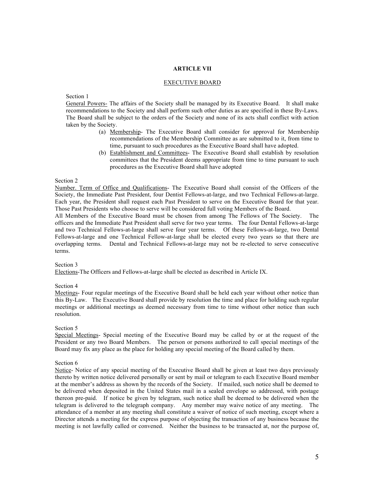# **ARTICLE VII**

#### EXECUTIVE BOARD

Section 1

General Powers- The affairs of the Society shall be managed by its Executive Board. It shall make recommendations to the Society and shall perform such other duties as are specified in these By-Laws. The Board shall be subject to the orders of the Society and none of its acts shall conflict with action taken by the Society.

- (a) Membership- The Executive Board shall consider for approval for Membership recommendations of the Membership Committee as are submitted to it, from time to time, pursuant to such procedures as the Executive Board shall have adopted.
- (b) Establishment and Committees- The Executive Board shall establish by resolution committees that the President deems appropriate from time to time pursuant to such procedures as the Executive Board shall have adopted

# Section 2

Number. Term of Office and Qualifications- The Executive Board shall consist of the Officers of the Society, the Immediate Past President, four Dentist Fellows-at-large, and two Technical Fellows-at-large. Each year, the President shall request each Past President to serve on the Executive Board for that year. Those Past Presidents who choose to serve will be considered full voting Members of the Board.

All Members of the Executive Board must be chosen from among The Fellows of The Society. The officers and the Immediate Past President shall serve for two year terms. The four Dental Fellows-at-large and two Technical Fellows-at-large shall serve four year terms. Of these Fellows-at-large, two Dental Fellows-at-large and one Technical Fellow-at-large shall be elected every two years so that there are overlapping terms. Dental and Technical Fellows-at-large may not be re-elected to serve consecutive terms.

# Section 3

Elections-The Officers and Fellows-at-large shall be elected as described in Article IX.

# Section 4

Meetings- Four regular meetings of the Executive Board shall be held each year without other notice than this By-Law. The Executive Board shall provide by resolution the time and place for holding such regular meetings or additional meetings as deemed necessary from time to time without other notice than such resolution.

# Section 5

Special Meetings- Special meeting of the Executive Board may be called by or at the request of the President or any two Board Members. The person or persons authorized to call special meetings of the Board may fix any place as the place for holding any special meeting of the Board called by them.

# Section 6

Notice- Notice of any special meeting of the Executive Board shall be given at least two days previously thereto by written notice delivered personally or sent by mail or telegram to each Executive Board member at the member's address as shown by the records of the Society. If mailed, such notice shall be deemed to be delivered when deposited in the United States mail in a sealed envelope so addressed, with postage thereon pre-paid. If notice be given by telegram, such notice shall be deemed to be delivered when the telegram is delivered to the telegraph company. Any member may waive notice of any meeting. The attendance of a member at any meeting shall constitute a waiver of notice of such meeting, except where a Director attends a meeting for the express purpose of objecting the transaction of any business because the meeting is not lawfully called or convened. Neither the business to be transacted at, nor the purpose of,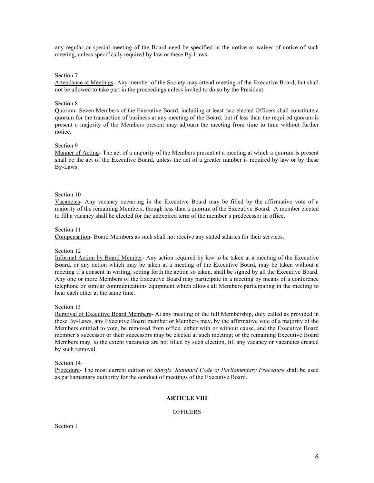any regular or special meeting of the Board need be specified in the notice or waiver of notice of such meeting, unless specifically required by law or these By-Laws.

# Section 7

Attendance at Meetings- Any member of the Society may attend meeting of the Executive Board, but shall not be allowed to take part in the proceedings unless invited to do so by the President.

#### Section 8

Quorum- Seven Members of the Executive Board, including at least two elected Officers shall constitute a quorum for the transaction of business at any meeting of the Board; but if less than the required quorum is present a majority of the Members present may adjourn the meeting from time to time without further notice.

#### Section 9

Manner of Acting- The act of a majority of the Members present at a meeting at which a quorum is present shall be the act of the Executive Board, unless the act of a greater number is required by law or by these By-Laws.

#### Section 10

Vacancies- Any vacancy occurring in the Executive Board may be filled by the affirmative vote of a majority of the remaining Members, though less than a quorum of the Executive Board. A member elected to fill a vacancy shall be elected for the unexpired term of the member's predecessor in office.

#### Section 11

Compensation- Board Members as such shall not receive any stated salaries for their services.

# Section 12

Informal Action by Board Member- Any action required by law to be taken at a meeting of the Executive Board, or any action which may be taken at a meeting of the Executive Board, may be taken without a meeting if a consent in writing, setting forth the action so taken, shall be signed by all the Executive Board. Any one or more Members of the Executive Board may participate in a meeting by means of a conference telephone or similar communications equipment which allows all Members participating in the meeting to hear each other at the same time.

#### Section 13

Removal of Executive Board Members- At any meeting of the full Membership, duly called as provided in these By-Laws, any Executive Board member or Members may, by the affirmative vote of a majority of the Members entitled to vote, be removed from office, either with or without cause, and the Executive Board member's successor or their successors may be elected at such meeting; or the remaining Executive Board Members may, to the extent vacancies are not filled by such election, fill any vacancy or vacancies created by such removal.

# Section 14

Procedure- The most current edition of *Sturgis' Standard Code of Parliamentary Procedure* shall be used as parliamentary authority for the conduct of meetings of the Executive Board.

# **ARTICLE VIII**

# **OFFICERS**

Section 1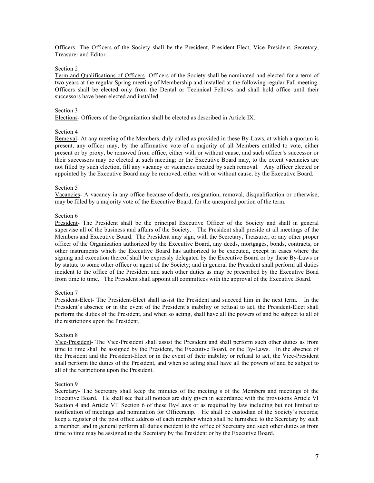Officers- The Officers of the Society shall be the President, President-Elect, Vice President, Secretary, Treasurer and Editor.

#### Section 2

Term and Qualifications of Officers- Officers of the Society shall be nominated and elected for a term of two years at the regular Spring meeting of Membership and installed at the following regular Fall meeting. Officers shall be elected only from the Dental or Technical Fellows and shall hold office until their successors have been elected and installed.

#### Section 3

Elections- Officers of the Organization shall be elected as described in Article IX.

#### Section 4

Removal- At any meeting of the Members, duly called as provided in these By-Laws, at which a quorum is present, any officer may, by the affirmative vote of a majority of all Members entitled to vote, either present or by proxy, be removed from office, either with or without cause, and such officer's successor or their successors may be elected at such meeting: or the Executive Board may, to the extent vacancies are not filled by such election, fill any vacancy or vacancies created by such removal. Any officer elected or appointed by the Executive Board may be removed, either with or without cause, by the Executive Board.

#### Section 5

Vacancies- A vacancy in any office because of death, resignation, removal, disqualification or otherwise, may be filled by a majority vote of the Executive Board, for the unexpired portion of the term.

#### Section 6

President- The President shall be the principal Executive Officer of the Society and shall in general supervise all of the business and affairs of the Society. The President shall preside at all meetings of the Members and Executive Board. The President may sign, with the Secretary, Treasurer, or any other proper officer of the Organization authorized by the Executive Board, any deeds, mortgages, bonds, contracts, or other instruments which the Executive Board has authorized to be executed, except in cases where the signing and execution thereof shall be expressly delegated by the Executive Board or by these By-Laws or by statute to some other officer or agent of the Society; and in general the President shall perform all duties incident to the office of the President and such other duties as may be prescribed by the Executive Boad from time to time. The President shall appoint all committees with the approval of the Executive Board.

# Section 7

President-Elect- The President-Elect shall assist the President and succeed him in the next term. In the President's absence or in the event of the President's inability or refusal to act, the President-Elect shall perform the duties of the President, and when so acting, shall have all the powers of and be subject to all of the restrictions upon the President.

#### Section 8

Vice-President- The Vice-President shall assist the President and shall perform such other duties as from time to time shall be assigned by the President, the Executive Board, or the By-Laws. In the absence of the President and the President-Elect or in the event of their inability or refusal to act, the Vice-President shall perform the duties of the President, and when so acting shall have all the powers of and be subject to all of the restrictions upon the President.

# Section 9

Secretary- The Secretary shall keep the minutes of the meeting s of the Members and meetings of the Executive Board. He shall see that all notices are duly given in accordance with the provisions Article VI Section 4 and Article VII Section 6 of these By-Laws or as required by law including but not limited to notification of meetings and nomination for Officership. He shall be custodian of the Society's records; keep a register of the post office address of each member which shall be furnished to the Secretary by such a member; and in general perform all duties incident to the office of Secretary and such other duties as from time to time may be assigned to the Secretary by the President or by the Executive Board.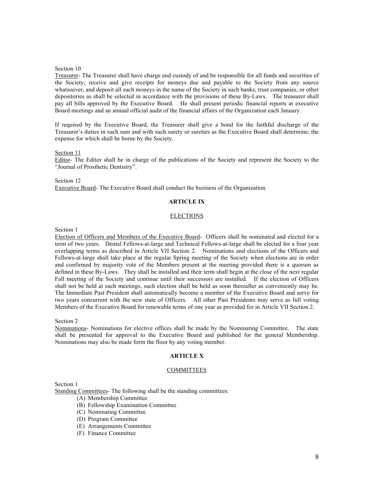Treasurer- The Treasurer shall have charge and custody of and be responsible for all funds and securities of the Society; receive and give receipts for moneys due and payable to the Society from any source whatsoever, and deposit all such moneys in the name of the Society in such banks, trust companies, or other depositories as shall be selected in accordance with the provisions of these By-Laws. The treasurer shall pay all bills approved by the Executive Board. He shall present periodic financial reports at executive Board meetings and an annual official audit of the financial affairs of the Organization each January.

If required by the Executive Board, the Treasurer shall give a bond for the faithful discharge of the Treasurer's duties in such sum and with such surety or sureties as the Executive Board shall determine; the expense for which shall be borne by the Society.

# Section 11

Editor- The Editor shall be in charge of the publications of the Society and represent the Society to the "Journal of Prosthetic Dentistry".

Section 12 Executive Board- The Executive Board shall conduct the business of the Organization.

# **ARTICLE IX**

# ELECTIONS

Section 1

Election of Officers and Members of the Executive Board- Officers shall be nominated and elected for a term of two years. Dental Fellows-at-large and Technical Fellows-at-large shall be elected for a four year overlapping terms as described in Article VII Section 2. Nominations and elections of the Officers and Fellows-at-large shall take place at the regular Spring meeting of the Society when elections are in order and confirmed by majority vote of the Members present at the meeting provided there is a quorum as defined in these By-Laws. They shall be installed and their term shall begin at the close of the next regular Fall meeting of the Society and continue until their successors are installed. If the election of Officers shall not be held at such meetings, such election shall be held as soon thereafter as conveniently may be. The Immediate Past President shall automatically become a member of the Executive Board and serve for two years concurrent with the new state of Officers. All other Past Presidents may serve as full voting Members of the Executive Board for renewable terms of one year as provided for in Article VII Section 2.

Section 2

Nominations- Nominations for elective offices shall be made by the Nominating Committee. The state shall be presented for approval to the Executive Board and published for the general Membership. Nominations may also be made form the floor by any voting member.

# **ARTICLE X**

# COMMITTEES

Section 1

Standing Committees- The following shall be the standing committees:

- (A) Membership Committee
- (B) Fellowship Examination Committee
- (C) Nominating Committee
- (D) Program Committee
- (E) Arrangements Committee
- (F) Finance Committee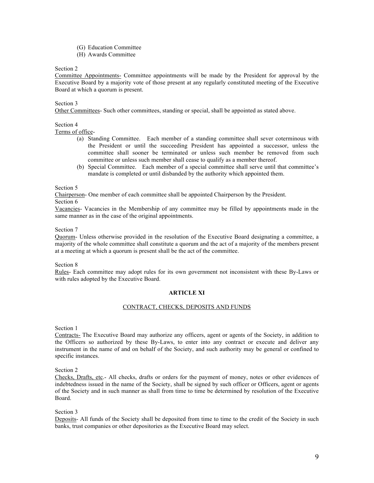- (G) Education Committee
- (H) Awards Committee

Committee Appointments- Committee appointments will be made by the President for approval by the Executive Board by a majority vote of those present at any regularly constituted meeting of the Executive Board at which a quorum is present.

# Section 3

Other Committees- Such other committees, standing or special, shall be appointed as stated above.

# Section 4

Terms of office-

- (a) Standing Committee. Each member of a standing committee shall sever coterminous with the President or until the succeeding President has appointed a successor, unless the committee shall sooner be terminated or unless such member be removed from such committee or unless such member shall cease to qualify as a member thereof.
- (b) Special Committee. Each member of a special committee shall serve until that committee's mandate is completed or until disbanded by the authority which appointed them.

# Section 5

Chairperson- One member of each committee shall be appointed Chairperson by the President.

Section 6

Vacancies- Vacancies in the Membership of any committee may be filled by appointments made in the same manner as in the case of the original appointments.

# Section 7

Quorum- Unless otherwise provided in the resolution of the Executive Board designating a committee, a majority of the whole committee shall constitute a quorum and the act of a majority of the members present at a meeting at which a quorum is present shall be the act of the committee.

Section 8

Rules- Each committee may adopt rules for its own government not inconsistent with these By-Laws or with rules adopted by the Executive Board.

# **ARTICLE XI**

# CONTRACT, CHECKS, DEPOSITS AND FUNDS

Section 1

Contracts- The Executive Board may authorize any officers, agent or agents of the Society, in addition to the Officers so authorized by these By-Laws, to enter into any contract or execute and deliver any instrument in the name of and on behalf of the Society, and such authority may be general or confined to specific instances.

Section 2

Checks, Drafts, etc.- All checks, drafts or orders for the payment of money, notes or other evidences of indebtedness issued in the name of the Society, shall be signed by such officer or Officers, agent or agents of the Society and in such manner as shall from time to time be determined by resolution of the Executive Board.

Section 3

Deposits- All funds of the Society shall be deposited from time to time to the credit of the Society in such banks, trust companies or other depositories as the Executive Board may select.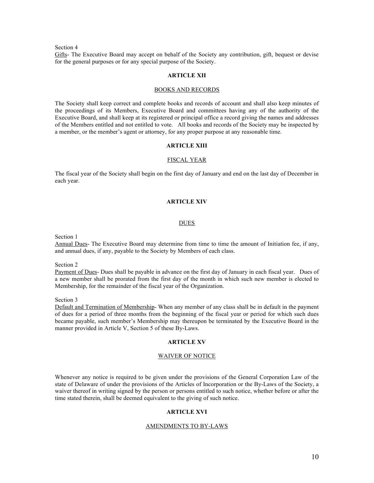Gifts- The Executive Board may accept on behalf of the Society any contribution, gift, bequest or devise for the general purposes or for any special purpose of the Society.

# **ARTICLE XII**

#### BOOKS AND RECORDS

The Society shall keep correct and complete books and records of account and shall also keep minutes of the proceedings of its Members, Executive Board and committees having any of the authority of the Executive Board, and shall keep at its registered or principal office a record giving the names and addresses of the Members entitled and not entitled to vote. All books and records of the Society may be inspected by a member, or the member's agent or attorney, for any proper purpose at any reasonable time.

# **ARTICLE XIII**

#### FISCAL YEAR

The fiscal year of the Society shall begin on the first day of January and end on the last day of December in each year.

# **ARTICLE XIV**

#### DUES

Section 1

Annual Dues- The Executive Board may determine from time to time the amount of Initiation fee, if any, and annual dues, if any, payable to the Society by Members of each class.

Section 2

Payment of Dues- Dues shall be payable in advance on the first day of January in each fiscal year. Dues of a new member shall be prorated from the first day of the month in which such new member is elected to Membership, for the remainder of the fiscal year of the Organization.

Section 3

Default and Termination of Membership- When any member of any class shall be in default in the payment of dues for a period of three months from the beginning of the fiscal year or period for which such dues became payable, such member's Membership may thereupon be terminated by the Executive Board in the manner provided in Article V, Section 5 of these By-Laws.

# **ARTICLE XV**

# WAIVER OF NOTICE

Whenever any notice is required to be given under the provisions of the General Corporation Law of the state of Delaware of under the provisions of the Articles of Incorporation or the By-Laws of the Society, a waiver thereof in writing signed by the person or persons entitled to such notice, whether before or after the time stated therein, shall be deemed equivalent to the giving of such notice.

# **ARTICLE XVI**

#### AMENDMENTS TO BY-LAWS